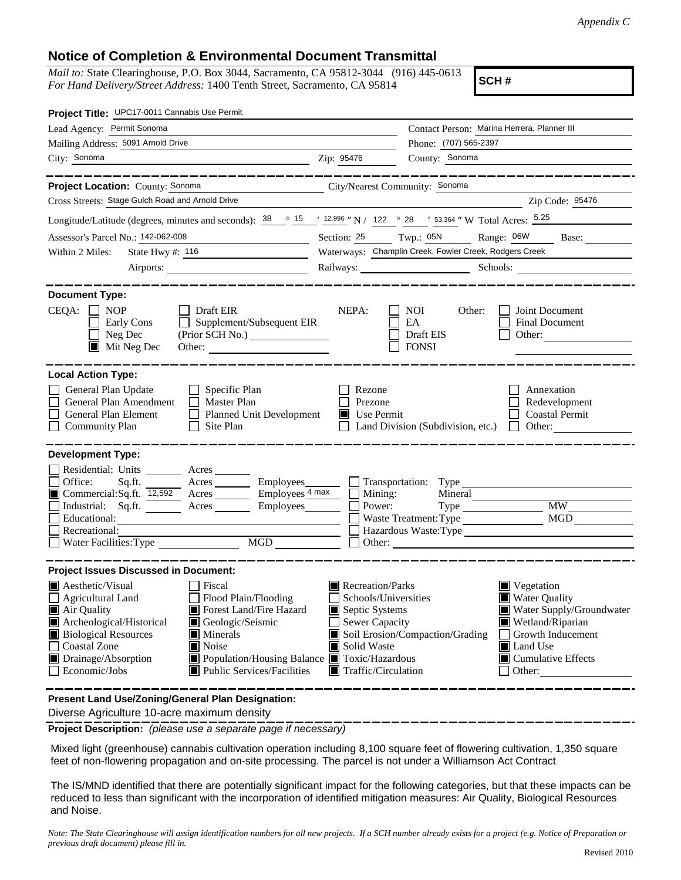## **Notice of Completion & Environmental Document Transmittal**

*Mail to:* State Clearinghouse, P.O. Box 3044, Sacramento, CA 95812-3044 (916) 445-0613 *For Hand Delivery/Street Address:* 1400 Tenth Street, Sacramento, CA 95814

**SCH #**

| Project Title: UPC17-0011 Cannabis Use Permit                                                                                                                                                                                                                                                                                                                                                                                           |                                                                                                                                   |                                                                                        |                                                                                                                                                                                            |  |
|-----------------------------------------------------------------------------------------------------------------------------------------------------------------------------------------------------------------------------------------------------------------------------------------------------------------------------------------------------------------------------------------------------------------------------------------|-----------------------------------------------------------------------------------------------------------------------------------|----------------------------------------------------------------------------------------|--------------------------------------------------------------------------------------------------------------------------------------------------------------------------------------------|--|
| Lead Agency: Permit Sonoma                                                                                                                                                                                                                                                                                                                                                                                                              |                                                                                                                                   | Contact Person: Marina Herrera, Planner III                                            |                                                                                                                                                                                            |  |
| Mailing Address: 5091 Arnold Drive                                                                                                                                                                                                                                                                                                                                                                                                      | Phone: (707) 565-2397                                                                                                             |                                                                                        |                                                                                                                                                                                            |  |
| City: Sonoma                                                                                                                                                                                                                                                                                                                                                                                                                            | Zip: 95476                                                                                                                        | County: Sonoma                                                                         |                                                                                                                                                                                            |  |
|                                                                                                                                                                                                                                                                                                                                                                                                                                         |                                                                                                                                   |                                                                                        |                                                                                                                                                                                            |  |
| Project Location: County: Sonoma<br>City/Nearest Community: Sonoma                                                                                                                                                                                                                                                                                                                                                                      |                                                                                                                                   |                                                                                        |                                                                                                                                                                                            |  |
| Cross Streets: Stage Gulch Road and Arnold Drive                                                                                                                                                                                                                                                                                                                                                                                        |                                                                                                                                   |                                                                                        | Zip Code: 95476                                                                                                                                                                            |  |
| Longitude/Latitude (degrees, minutes and seconds): $\frac{38}{15}$ $\frac{15}{12.996}$ N / 122 $\degree$ 28 $\degree$ / 53.364 " W Total Acres: $\frac{5.25}{12.996}$                                                                                                                                                                                                                                                                   |                                                                                                                                   |                                                                                        |                                                                                                                                                                                            |  |
| Assessor's Parcel No.: 142-062-008                                                                                                                                                                                                                                                                                                                                                                                                      |                                                                                                                                   | Section: 25 Twp.: 05N                                                                  | Range: 06W<br>Base:                                                                                                                                                                        |  |
| State Hwy #: 116<br>Within 2 Miles:<br>the control of the control of the control of                                                                                                                                                                                                                                                                                                                                                     | Waterways: Champlin Creek, Fowler Creek, Rodgers Creek                                                                            |                                                                                        |                                                                                                                                                                                            |  |
|                                                                                                                                                                                                                                                                                                                                                                                                                                         |                                                                                                                                   |                                                                                        | Railways: Schools: Schools:                                                                                                                                                                |  |
| <b>Document Type:</b><br>$CEQA: \Box NP$<br>$\Box$ Draft EIR<br>Supplement/Subsequent EIR<br>Early Cons<br>Neg Dec<br>$\blacksquare$ Mit Neg Dec                                                                                                                                                                                                                                                                                        | NEPA:                                                                                                                             | <b>NOI</b><br>Other:<br>EA<br>Draft EIS<br><b>FONSI</b>                                | Joint Document<br>Final Document<br>Other:                                                                                                                                                 |  |
| <b>Local Action Type:</b><br>General Plan Update<br>$\Box$ Specific Plan<br>General Plan Amendment<br>$\Box$ Master Plan<br>General Plan Element<br>Planned Unit Development<br><b>Community Plan</b><br>Site Plan<br>$\perp$                                                                                                                                                                                                           | Rezone<br>Prezone<br>$\blacksquare$ Use Permit                                                                                    | Land Division (Subdivision, etc.)                                                      | Annexation<br>Redevelopment<br><b>Coastal Permit</b><br>Other: $\qquad \qquad$<br>$\Box$                                                                                                   |  |
| <b>Development Type:</b>                                                                                                                                                                                                                                                                                                                                                                                                                |                                                                                                                                   |                                                                                        |                                                                                                                                                                                            |  |
| Residential: Units ________ Acres _______<br>Office:<br>Acres<br>Sq.ft.<br>Commercial:Sq.ft. 12,592 Acres Employees 4 max<br>Industrial: Sq.ft. Acres Employees<br>Educational:<br>Recreational:<br>MGD MGD<br>Water Facilities: Type                                                                                                                                                                                                   | Power:                                                                                                                            | Employees_________ Transportation: Type<br>Mining:<br>Mineral<br>Waste Treatment: Type | <b>MW</b><br>MGD<br>Hazardous Waste:Type                                                                                                                                                   |  |
| <b>Project Issues Discussed in Document:</b>                                                                                                                                                                                                                                                                                                                                                                                            |                                                                                                                                   |                                                                                        |                                                                                                                                                                                            |  |
| $\blacksquare$ Aesthetic/Visual<br>Fiscal<br><b>Agricultural Land</b><br>Flood Plain/Flooding<br>Air Quality<br>Forest Land/Fire Hazard<br>Archeological/Historical<br>Geologic/Seismic<br><b>Biological Resources</b><br>$\blacksquare$ Minerals<br><b>Coastal Zone</b><br>$\blacksquare$ Noise<br>Drainage/Absorption<br>■ Population/Housing Balance ■ Toxic/Hazardous<br>Economic/Jobs<br>$\blacksquare$ Public Services/Facilities | Recreation/Parks<br>Schools/Universities<br>Septic Systems<br>Sewer Capacity<br>Solid Waste<br>$\blacksquare$ Traffic/Circulation | Soil Erosion/Compaction/Grading                                                        | $\blacksquare$ Vegetation<br><b>Water Quality</b><br>Water Supply/Groundwater<br>Wetland/Riparian<br>Growth Inducement<br><b>■</b> Land Use<br>$\blacksquare$ Cumulative Effects<br>Other: |  |
| Present Land Use/Zoning/General Plan Designation:                                                                                                                                                                                                                                                                                                                                                                                       |                                                                                                                                   |                                                                                        |                                                                                                                                                                                            |  |

Diverse Agriculture 10-acre maximum density

**Project Description:** *(please use a separate page if necessary)*

 Mixed light (greenhouse) cannabis cultivation operation including 8,100 square feet of flowering cultivation, 1,350 square feet of non-flowering propagation and on-site processing. The parcel is not under a Williamson Act Contract

The IS/MND identified that there are potentially significant impact for the following categories, but that these impacts can be reduced to less than significant with the incorporation of identified mitigation measures: Air Quality, Biological Resources and Noise.

*Note: The State Clearinghouse will assign identification numbers for all new projects. If a SCH number already exists for a project (e.g. Notice of Preparation or previous draft document) please fill in.*